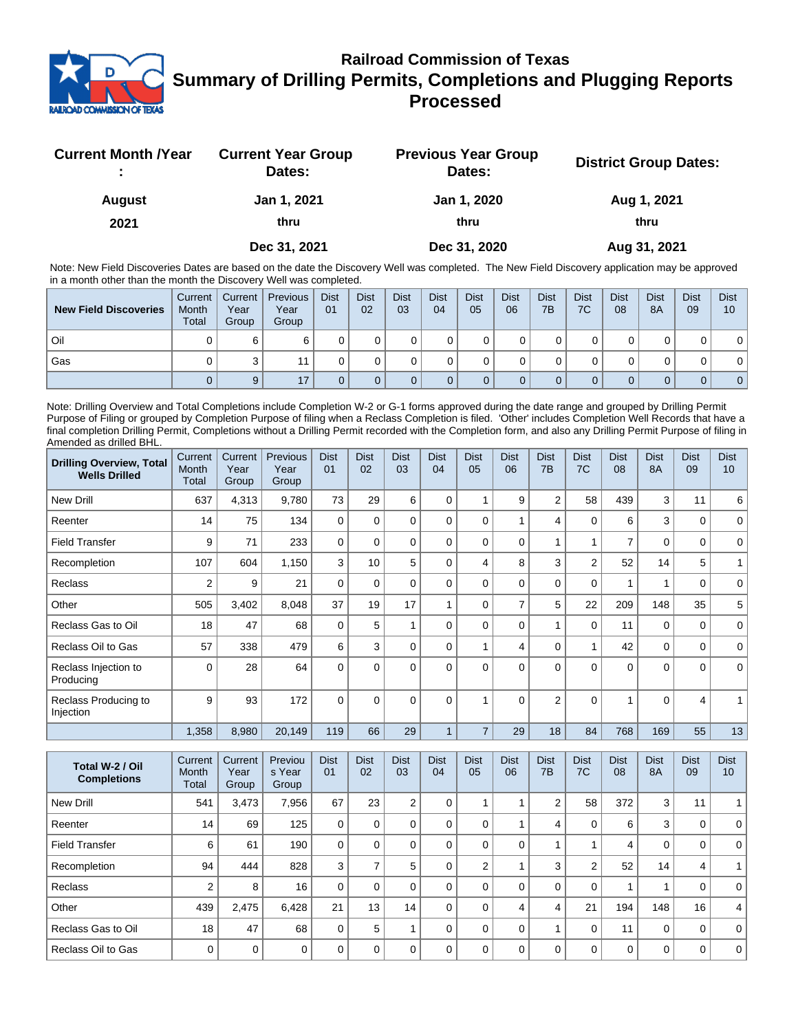

## **Railroad Commission of Texas Summary of Drilling Permits, Completions and Plugging Reports Processed**

| <b>Current Month /Year</b> | <b>Current Year Group</b><br>Dates: | <b>Previous Year Group</b><br>Dates: | <b>District Group Dates:</b> |
|----------------------------|-------------------------------------|--------------------------------------|------------------------------|
| <b>August</b>              | Jan 1, 2021                         | Jan 1, 2020                          | Aug 1, 2021                  |
| 2021                       | thru                                | thru                                 | thru                         |
|                            | Dec 31, 2021                        | Dec 31, 2020                         | Aug 31, 2021                 |

Note: New Field Discoveries Dates are based on the date the Discovery Well was completed. The New Field Discovery application may be approved in a month other than the month the Discovery Well was completed.

| <b>New Field Discoveries</b> | Current<br>Month<br><b>Total</b> | Current  <br>Year<br>Group | Previous<br>Year<br>Group | <b>Dist</b><br>01 | <b>Dist</b><br>02 | <b>Dist</b><br>03 | <b>Dist</b><br>04 | <b>Dist</b><br>05 | <b>Dist</b><br>06 | <b>Dist</b><br>7B | <b>Dist</b><br>7C | <b>Dist</b><br>08 | <b>Dist</b><br>8A | <b>Dist</b><br>09 | <b>Dist</b><br>10 |
|------------------------------|----------------------------------|----------------------------|---------------------------|-------------------|-------------------|-------------------|-------------------|-------------------|-------------------|-------------------|-------------------|-------------------|-------------------|-------------------|-------------------|
| Oil                          |                                  | 6                          |                           |                   |                   |                   |                   |                   |                   |                   |                   |                   |                   |                   |                   |
| Gas                          |                                  |                            |                           |                   |                   |                   |                   |                   |                   |                   |                   |                   |                   |                   |                   |
|                              |                                  | 9                          | 17                        |                   |                   |                   |                   |                   |                   |                   |                   |                   |                   | 0                 | 0 <sup>1</sup>    |

Note: Drilling Overview and Total Completions include Completion W-2 or G-1 forms approved during the date range and grouped by Drilling Permit Purpose of Filing or grouped by Completion Purpose of filing when a Reclass Completion is filed. 'Other' includes Completion Well Records that have a final completion Drilling Permit, Completions without a Drilling Permit recorded with the Completion form, and also any Drilling Permit Purpose of filing in Amended as drilled BHL.

| <b>Drilling Overview, Total</b><br><b>Wells Drilled</b> | Current<br>Month<br><b>Total</b> | Current<br>Year<br>Group | Previous<br>Year<br>Group | <b>Dist</b><br>01 | <b>Dist</b><br>02 | <b>Dist</b><br>03 | <b>Dist</b><br>04 | <b>Dist</b><br>05 | <b>Dist</b><br>06 | <b>Dist</b><br>7B | <b>Dist</b><br>7C | <b>Dist</b><br>08 | <b>Dist</b><br><b>8A</b> | <b>Dist</b><br>09 | <b>Dist</b><br>10 |
|---------------------------------------------------------|----------------------------------|--------------------------|---------------------------|-------------------|-------------------|-------------------|-------------------|-------------------|-------------------|-------------------|-------------------|-------------------|--------------------------|-------------------|-------------------|
| <b>New Drill</b>                                        | 637                              | 4,313                    | 9,780                     | 73                | 29                | 6                 | $\Omega$          |                   | 9                 | $\overline{2}$    | 58                | 439               | 3                        | 11                | 6                 |
| Reenter                                                 | 14                               | 75                       | 134                       | $\Omega$          | $\Omega$          | 0                 | $\Omega$          | $\Omega$          |                   | 4                 | 0                 | 6                 | 3                        | $\mathbf 0$       | $\mathbf 0$       |
| <b>Field Transfer</b>                                   | 9                                | 71                       | 233                       | $\mathbf 0$       | $\Omega$          | 0                 | $\Omega$          | $\Omega$          | 0                 | 1                 | 4                 | $\overline{7}$    | $\mathbf 0$              | $\mathbf 0$       | $\mathbf 0$       |
| Recompletion                                            | 107                              | 604                      | 1,150                     | 3                 | 10                | 5                 | $\Omega$          | 4                 | 8                 | 3                 | $\overline{2}$    | 52                | 14                       | 5                 |                   |
| Reclass                                                 | 2                                | 9                        | 21                        | $\Omega$          | $\Omega$          | 0                 | $\Omega$          | $\Omega$          | 0                 | 0                 | $\mathbf 0$       |                   | 1                        | 0                 | 0                 |
| Other                                                   | 505                              | 3,402                    | 8,048                     | 37                | 19                | 17                |                   | $\Omega$          | $\overline{7}$    | 5                 | 22                | 209               | 148                      | 35                | 5                 |
| Reclass Gas to Oil                                      | 18                               | 47                       | 68                        | $\Omega$          | 5                 |                   | $\Omega$          | $\Omega$          | $\Omega$          | 1                 | $\mathbf 0$       | 11                | $\mathbf 0$              | $\mathbf 0$       | $\mathbf 0$       |
| Reclass Oil to Gas                                      | 57                               | 338                      | 479                       | 6                 | 3                 | 0                 | $\Omega$          |                   | $\overline{4}$    | 0                 | 1                 | 42                | $\mathbf 0$              | $\mathbf 0$       | $\mathbf 0$       |
| Reclass Injection to<br>Producing                       | $\Omega$                         | 28                       | 64                        | $\Omega$          | $\Omega$          | $\Omega$          | $\Omega$          | $\Omega$          | $\Omega$          | $\Omega$          | $\Omega$          | $\Omega$          | $\Omega$                 | $\Omega$          | $\Omega$          |
| Reclass Producing to<br>Injection                       | 9                                | 93                       | 172                       | $\Omega$          | $\Omega$          | $\Omega$          | $\Omega$          |                   | $\Omega$          | $\overline{2}$    | $\Omega$          |                   | $\Omega$                 | 4                 |                   |
|                                                         | 1,358                            | 8,980                    | 20,149                    | 119               | 66                | 29                |                   | $\overline{7}$    | 29                | 18                | 84                | 768               | 169                      | 55                | 13                |

| Total W-2 / Oil<br><b>Completions</b> | Current<br>Month<br>Total | Current<br>Year<br>Group | Previou<br>s Year<br>Group | <b>Dist</b><br>01 | <b>Dist</b><br>02 | <b>Dist</b><br>03 | <b>Dist</b><br>04 | <b>Dist</b><br>05 | <b>Dist</b><br>06 | <b>Dist</b><br>7B | <b>Dist</b><br>7C | <b>Dist</b><br>08 | <b>Dist</b><br><b>8A</b> | <b>Dist</b><br>09 | <b>Dist</b><br>10 <sup>°</sup> |
|---------------------------------------|---------------------------|--------------------------|----------------------------|-------------------|-------------------|-------------------|-------------------|-------------------|-------------------|-------------------|-------------------|-------------------|--------------------------|-------------------|--------------------------------|
| New Drill                             | 541                       | 3,473                    | 7,956                      | 67                | 23                | 2                 | 0                 |                   |                   | $\overline{2}$    | 58                | 372               | 3                        | 11                |                                |
| Reenter                               | 14                        | 69                       | 125                        | 0                 | 0                 | 0                 | 0                 |                   |                   | 4                 | 0                 | 6                 | 3                        | 0                 | $\Omega$                       |
| <b>Field Transfer</b>                 | 6                         | 61                       | 190                        | 0                 | $\Omega$          | 0                 |                   |                   | $\Omega$          |                   |                   | 4                 | 0                        | 0                 | $\overline{0}$                 |
| Recompletion                          | 94                        | 444                      | 828                        | 3                 |                   | 5                 | 0                 | $\overline{2}$    |                   | 3                 | $\overline{2}$    | 52                | 14                       | 4                 |                                |
| <b>Reclass</b>                        | 2                         | 8                        | 16                         | 0                 | 0                 | 0                 |                   |                   | $\Omega$          | $\Omega$          | $\Omega$          |                   |                          | 0                 | $\Omega$                       |
| Other                                 | 439                       | 2.475                    | 6,428                      | 21                | 13                | 14                | 0                 |                   | 4                 | 4                 | 21                | 194               | 148                      | 16                | 4                              |
| Reclass Gas to Oil                    | 18                        | 47                       | 68                         | 0                 | 5                 |                   |                   |                   | $\Omega$          |                   | 0                 | 11                | 0                        | $\mathbf 0$       | $\mathbf 0$                    |
| Reclass Oil to Gas                    | $\Omega$                  | $\mathbf 0$              | $\Omega$                   | U                 | <sup>0</sup>      | O                 |                   |                   | $\Omega$          | 0                 | $\Omega$          | $\Omega$          | 0                        | $\mathbf 0$       | 0 <sup>1</sup>                 |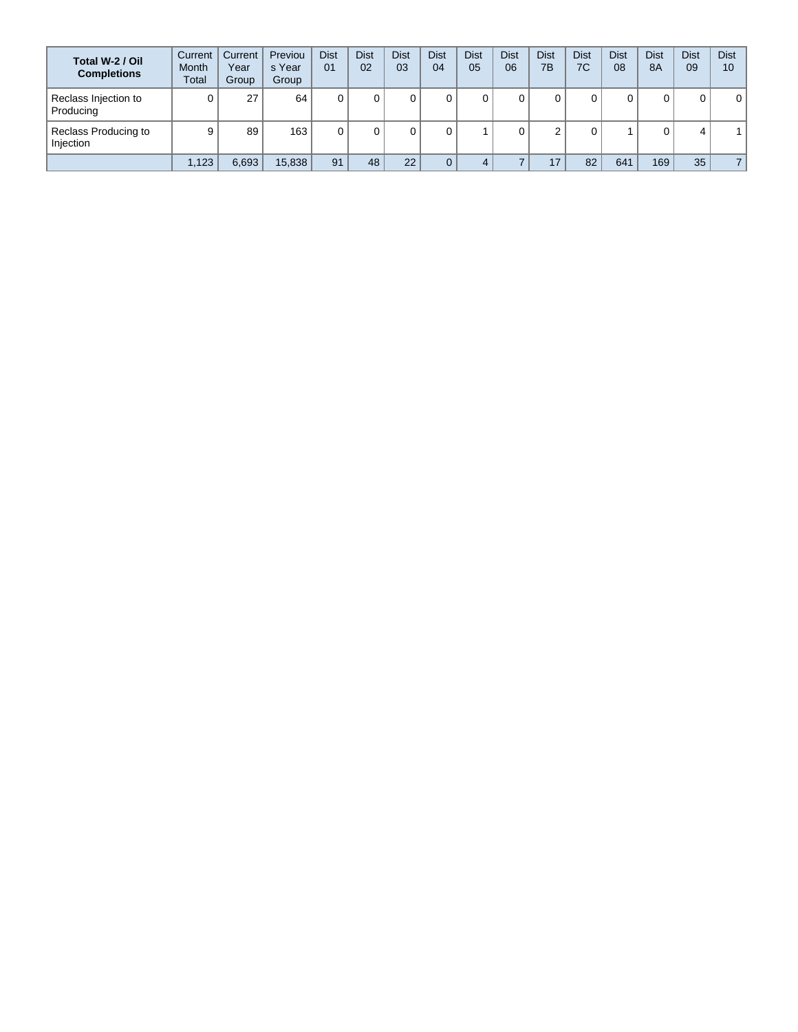| Total W-2 / Oil<br><b>Completions</b> | Current<br><b>Month</b><br>Total | Current<br>Year<br>Group | Previou<br>s Year<br>Group | <b>Dist</b><br>01 | <b>Dist</b><br>02 | <b>Dist</b><br>03 | <b>Dist</b><br>04 | <b>Dist</b><br>05 | <b>Dist</b><br>06 | <b>Dist</b><br>7B | <b>Dist</b><br>7C | <b>Dist</b><br>08 | <b>Dist</b><br><b>8A</b> | <b>Dist</b><br>09 | <b>Dist</b><br>10 |
|---------------------------------------|----------------------------------|--------------------------|----------------------------|-------------------|-------------------|-------------------|-------------------|-------------------|-------------------|-------------------|-------------------|-------------------|--------------------------|-------------------|-------------------|
| Reclass Injection to<br>Producing     |                                  | 27                       | 64                         |                   |                   |                   |                   |                   |                   |                   |                   | 0                 | 0                        | 0                 | $\mathbf 0$       |
| Reclass Producing to<br>Injection     | 9                                | 89                       | 163                        |                   |                   |                   |                   |                   |                   |                   |                   |                   |                          | 4                 |                   |
|                                       | .123                             | 6,693                    | 15,838                     | 91                | 48                | 22                |                   |                   |                   | 17                | 82                | 641               | 169                      | 35                | $\overline{7}$    |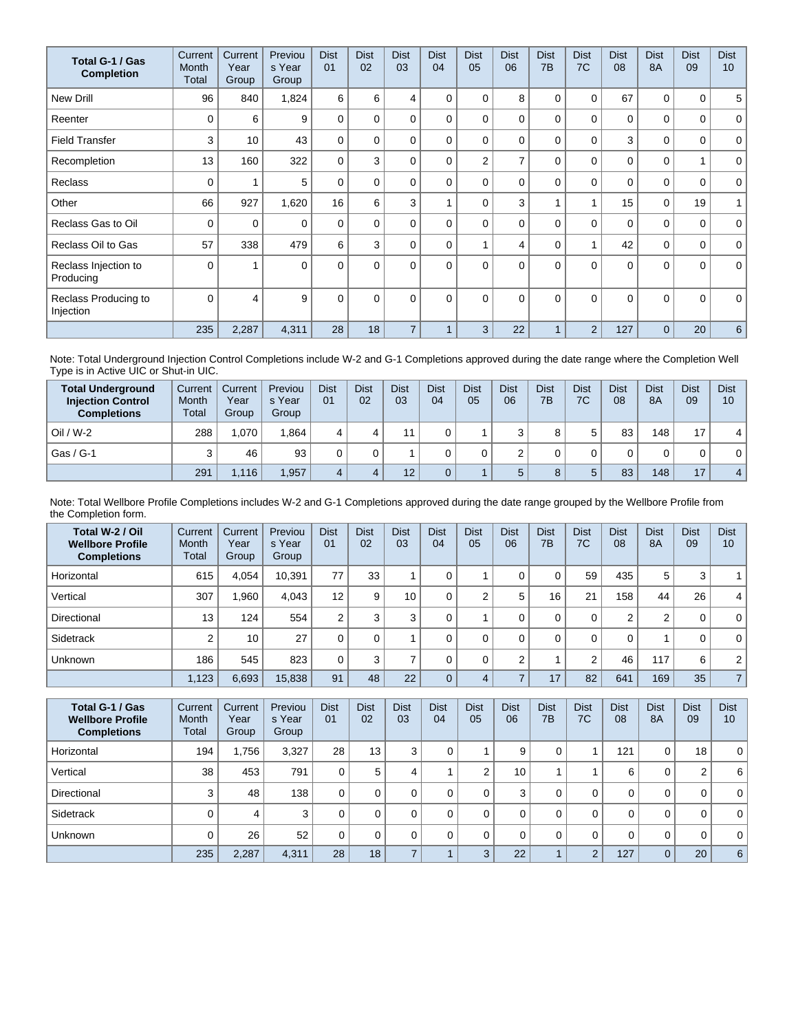| Total G-1 / Gas<br><b>Completion</b> | Current<br>Month<br>Total | Current<br>Year<br>Group | Previou<br>s Year<br>Group | <b>Dist</b><br>01 | <b>Dist</b><br>02 | <b>Dist</b><br>03 | <b>Dist</b><br>04 | <b>Dist</b><br>05 | <b>Dist</b><br>06 | <b>Dist</b><br>7B | <b>Dist</b><br>7C | <b>Dist</b><br>08 | <b>Dist</b><br><b>8A</b> | <b>Dist</b><br>09 | <b>Dist</b><br>10 <sup>1</sup> |
|--------------------------------------|---------------------------|--------------------------|----------------------------|-------------------|-------------------|-------------------|-------------------|-------------------|-------------------|-------------------|-------------------|-------------------|--------------------------|-------------------|--------------------------------|
| <b>New Drill</b>                     | 96                        | 840                      | 1,824                      | 6                 | 6                 | 4                 | 0                 | 0                 | 8                 | 0                 | 0                 | 67                | 0                        | 0                 | 5                              |
| Reenter                              | $\Omega$                  | 6                        | 9                          | $\Omega$          | 0                 | $\Omega$          | 0                 | 0                 | $\Omega$          | $\Omega$          | $\Omega$          | 0                 | $\Omega$                 | 0                 | $\mathbf 0$                    |
| <b>Field Transfer</b>                | 3                         | 10                       | 43                         | $\Omega$          | 0                 | $\Omega$          | 0                 | $\Omega$          | $\Omega$          | $\Omega$          | 0                 | 3                 | $\Omega$                 | 0                 | $\mathbf 0$                    |
| Recompletion                         | 13                        | 160                      | 322                        | $\Omega$          | 3                 | $\Omega$          | 0                 | $\overline{2}$    | 7                 | $\Omega$          | $\Omega$          | $\mathbf 0$       | $\Omega$                 | 1                 | $\mathbf 0$                    |
| <b>Reclass</b>                       | $\Omega$                  |                          | 5                          | $\Omega$          | 0                 | $\Omega$          | 0                 | $\Omega$          | $\Omega$          | $\Omega$          | $\Omega$          | $\mathbf{0}$      | $\Omega$                 | 0                 | $\mathbf 0$                    |
| Other                                | 66                        | 927                      | 1,620                      | 16                | 6                 | 3                 |                   | $\Omega$          | 3                 |                   | 1                 | 15                | $\mathbf 0$              | 19                | 1                              |
| Reclass Gas to Oil                   | 0                         | 0                        | $\Omega$                   | $\Omega$          | $\Omega$          | $\Omega$          | 0                 | $\Omega$          | $\Omega$          | $\Omega$          | 0                 | 0                 | $\Omega$                 | 0                 | $\mathbf 0$                    |
| Reclass Oil to Gas                   | 57                        | 338                      | 479                        | 6                 | 3                 | $\Omega$          | 0                 |                   | 4                 | 0                 | 1                 | 42                | $\mathbf 0$              | 0                 | $\mathbf 0$                    |
| Reclass Injection to<br>Producing    | $\Omega$                  |                          | $\Omega$                   | $\Omega$          | $\Omega$          | $\Omega$          | $\Omega$          | $\Omega$          | $\Omega$          | $\Omega$          | $\Omega$          | $\Omega$          | $\Omega$                 | $\Omega$          | $\mathbf{0}$                   |
| Reclass Producing to<br>Injection    | $\Omega$                  | 4                        | 9                          | $\mathbf{0}$      | $\Omega$          | $\Omega$          | $\Omega$          | $\Omega$          | $\Omega$          | $\Omega$          | $\Omega$          | $\Omega$          | $\Omega$                 | $\Omega$          | $\mathbf 0$                    |
|                                      | 235                       | 2,287                    | 4,311                      | 28                | 18                | $\overline{7}$    | $\overline{A}$    | 3                 | 22                |                   | $\overline{2}$    | 127               | $\Omega$                 | 20                | 6                              |

Note: Total Underground Injection Control Completions include W-2 and G-1 Completions approved during the date range where the Completion Well Type is in Active UIC or Shut-in UIC.

| <b>Total Underground</b><br><b>Injection Control</b><br><b>Completions</b> | Current<br>Month<br>Total | Current<br>Year<br>Group | Previou<br>s Year<br>Group | <b>Dist</b><br>01 | <b>Dist</b><br>02 | <b>Dist</b><br>03 | <b>Dist</b><br>04 | <b>Dist</b><br>05 | Dist<br>06 | <b>Dist</b><br>7B | <b>Dist</b><br>7C | <b>Dist</b><br>08 | <b>Dist</b><br><b>8A</b> | <b>Dist</b><br>09 | <b>Dist</b><br>10 |
|----------------------------------------------------------------------------|---------------------------|--------------------------|----------------------------|-------------------|-------------------|-------------------|-------------------|-------------------|------------|-------------------|-------------------|-------------------|--------------------------|-------------------|-------------------|
| $Oil / W-2$                                                                | 288                       | 1.070                    | 1.864                      |                   |                   |                   |                   |                   | ີ          |                   | 5                 | 83                | 148                      | 17                | 4                 |
| Gas / G-1                                                                  |                           | 46                       | 93                         |                   |                   |                   |                   |                   |            |                   |                   |                   | 0                        |                   | 0                 |
|                                                                            | 291                       | 1,116                    | 1,957                      |                   |                   | 12                |                   |                   | 5          |                   | 5                 | 83                | 148                      | 17                | $\overline{4}$    |

Note: Total Wellbore Profile Completions includes W-2 and G-1 Completions approved during the date range grouped by the Wellbore Profile from the Completion form.

| Total W-2 / Oil<br><b>Wellbore Profile</b><br><b>Completions</b> | Current<br><b>Month</b><br>Total | Current<br>Year<br>Group | Previou<br>s Year<br>Group | <b>Dist</b><br>01 | <b>Dist</b><br>02 | <b>Dist</b><br>03 | <b>Dist</b><br>04 | <b>Dist</b><br>05 | <b>Dist</b><br>06 | <b>Dist</b><br>7 <sub>B</sub> | <b>Dist</b><br>7C | <b>Dist</b><br>08 | <b>Dist</b><br><b>8A</b> | <b>Dist</b><br>09 | <b>Dist</b><br>10 |
|------------------------------------------------------------------|----------------------------------|--------------------------|----------------------------|-------------------|-------------------|-------------------|-------------------|-------------------|-------------------|-------------------------------|-------------------|-------------------|--------------------------|-------------------|-------------------|
| Horizontal                                                       | 615                              | 4.054                    | 10,391                     | 77                | 33                |                   | 0                 |                   |                   | 0                             | 59                | 435               | 5                        | 3                 | $\mathbf{1}$      |
| Vertical                                                         | 307                              | .960                     | 4.043                      | 12                | 9                 | 10                |                   | $\sim$            | 5                 | 16                            | 21                | 158               | 44                       | 26                | $\overline{4}$    |
| Directional                                                      | 13                               | 124                      | 554                        | ົ                 | 3                 | 3                 |                   |                   |                   | 0                             | 0                 | $\overline{2}$    | $\overline{2}$           | 0                 | $\mathbf{0}$      |
| Sidetrack                                                        | ົ                                | 10                       | 27                         |                   | $\Omega$          |                   |                   |                   | $\Omega$          | 0                             | 0                 | 0                 |                          | 0                 | $\mathbf 0$       |
| Unknown                                                          | 186                              | 545                      | 823                        |                   | 3                 |                   |                   |                   | ◠                 |                               | ົ                 | 46                | 117                      | 6                 | 2                 |
|                                                                  | 1,123                            | 6,693                    | 15,838                     | 91                | 48                | 22                |                   | 4                 |                   | 17                            | 82                | 641               | 169                      | 35                | $\overline{7}$    |

| Total G-1 / Gas<br><b>Wellbore Profile</b><br><b>Completions</b> | Current<br><b>Month</b><br>Total | Current<br>Year<br>Group | Previou<br>s Year<br>Group | <b>Dist</b><br>01 | <b>Dist</b><br>02 | <b>Dist</b><br>03 | <b>Dist</b><br>04 | <b>Dist</b><br>05 | <b>Dist</b><br>06 | <b>Dist</b><br>7B | <b>Dist</b><br>7C | <b>Dist</b><br>08 | <b>Dist</b><br>8A | <b>Dist</b><br>09 | <b>Dist</b><br>10 |
|------------------------------------------------------------------|----------------------------------|--------------------------|----------------------------|-------------------|-------------------|-------------------|-------------------|-------------------|-------------------|-------------------|-------------------|-------------------|-------------------|-------------------|-------------------|
| Horizontal                                                       | 194                              | 1.756                    | 3,327                      | 28                | 13                | 3                 | 0                 |                   | 9                 | 0                 |                   | 121               | 0                 | 18 <sub>1</sub>   | 0 <sup>1</sup>    |
| Vertical                                                         | 38                               | 453                      | 791                        | 0                 | 5                 | 4                 |                   | $\sqrt{2}$        | 10                |                   |                   | 6                 | 0                 | 2                 | 6                 |
| Directional                                                      | 3                                | 48                       | 138                        | 0                 |                   | 0                 |                   |                   | 3                 | 0                 | 0                 | 0                 | 0                 | 0                 | 0 <sup>1</sup>    |
| Sidetrack                                                        |                                  | 4                        | 3                          | 0                 |                   | $\Omega$          |                   |                   |                   | 0                 | 0                 | 0                 | 0                 | $\Omega$          | 0 <sup>1</sup>    |
| <b>Unknown</b>                                                   |                                  | 26                       | 52                         | 0                 |                   | 0                 |                   |                   |                   | 0                 | 0                 | 0                 | 0                 | 0                 | 0 <sup>1</sup>    |
|                                                                  | 235                              | 2,287                    | 4,311                      | 28                | 18                |                   |                   | 3                 | 22                |                   | $\overline{2}$    | 127               | $\mathbf{0}$      | 20                | 6 <sub>1</sub>    |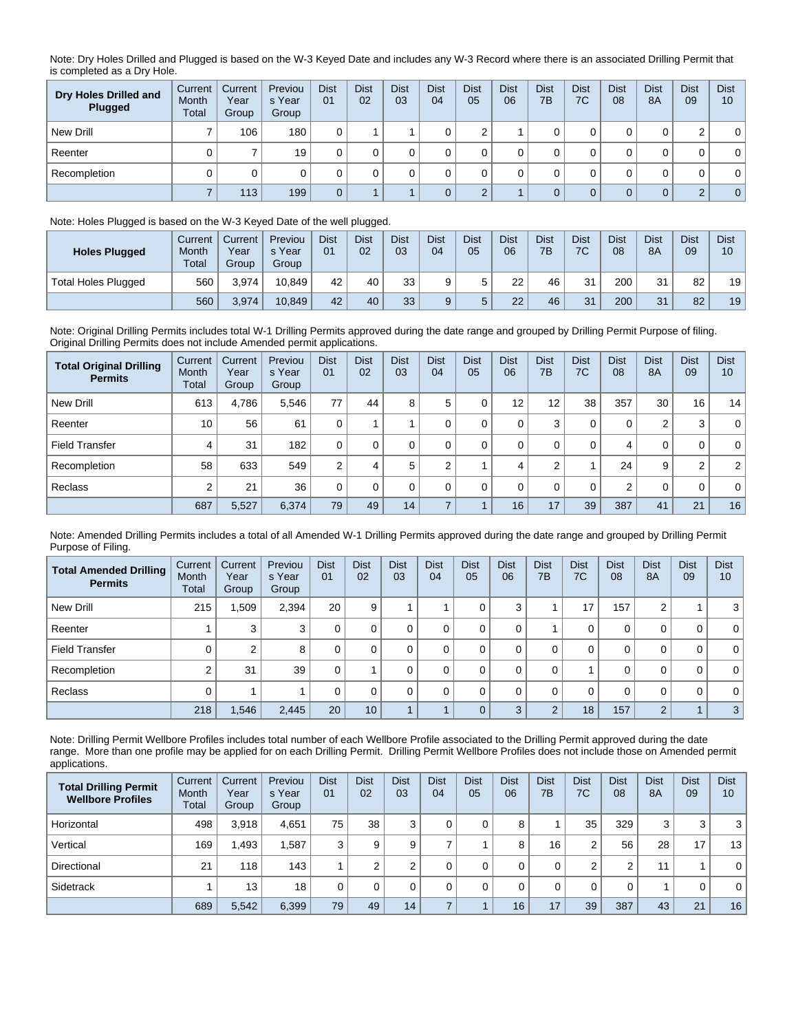Note: Dry Holes Drilled and Plugged is based on the W-3 Keyed Date and includes any W-3 Record where there is an associated Drilling Permit that is completed as a Dry Hole.

| Dry Holes Drilled and<br>Plugged | Current<br>Month<br><b>Total</b> | Current<br>Year<br>Group | Previou<br>s Year<br>Group | <b>Dist</b><br>01 | <b>Dist</b><br>02 | <b>Dist</b><br>03 | <b>Dist</b><br>04 | <b>Dist</b><br>05 | <b>Dist</b><br>06 | <b>Dist</b><br>7B | <b>Dist</b><br>7C | <b>Dist</b><br>08 | <b>Dist</b><br>8A | <b>Dist</b><br>09 | <b>Dist</b><br>10 |
|----------------------------------|----------------------------------|--------------------------|----------------------------|-------------------|-------------------|-------------------|-------------------|-------------------|-------------------|-------------------|-------------------|-------------------|-------------------|-------------------|-------------------|
| New Drill                        |                                  | 106                      | 180                        |                   |                   |                   |                   |                   |                   |                   | υ                 |                   | 0                 | C                 | $\mathbf{0}$      |
| Reenter                          |                                  |                          | 19                         |                   |                   |                   |                   |                   |                   |                   | υ                 |                   | 0                 | 0                 | $\mathbf 0$       |
| Recompletion                     |                                  | 0                        |                            |                   |                   |                   |                   |                   |                   |                   | υ                 |                   |                   | 0                 | $\mathbf 0$       |
|                                  |                                  | 113                      | 199                        | 0                 |                   |                   |                   |                   |                   |                   | 0                 | 0                 | $\mathbf{0}$      | $\Omega$          | $\overline{0}$    |

## Note: Holes Plugged is based on the W-3 Keyed Date of the well plugged.

| <b>Holes Plugged</b> | Current<br>Month<br><b>Total</b> | Current<br>Year<br>Group | Previou<br>s Year<br>Group | <b>Dist</b><br>01 | <b>Dist</b><br>02 | <b>Dist</b><br>03 | Dist<br>04 | <b>Dist</b><br>05 | Dist<br>06 | <b>Dist</b><br>7B | <b>Dist</b><br>7C | <b>Dist</b><br>08 | <b>Dist</b><br><b>8A</b> | Dist<br>09 | <b>Dist</b><br>10 |
|----------------------|----------------------------------|--------------------------|----------------------------|-------------------|-------------------|-------------------|------------|-------------------|------------|-------------------|-------------------|-------------------|--------------------------|------------|-------------------|
| Total Holes Plugged  | 560                              | 3.974                    | 10.849                     | 42                | 40                | 33                |            |                   | 22         | 46                | 31                | 200               | 31                       | 82         | 19 <sub>1</sub>   |
|                      | 560                              | 3,974                    | 10.849                     | 42                | 40                | 33                |            |                   | 22         | 46                | 31                | 200               | 21<br>ا ت                | 82         | 19                |

Note: Original Drilling Permits includes total W-1 Drilling Permits approved during the date range and grouped by Drilling Permit Purpose of filing. Original Drilling Permits does not include Amended permit applications.

| <b>Total Original Drilling</b><br><b>Permits</b> | Current<br>Month<br>Total | Current<br>Year<br>Group | Previou<br>s Year<br>Group | <b>Dist</b><br>01 | <b>Dist</b><br>02 | <b>Dist</b><br>03 | <b>Dist</b><br>04 | <b>Dist</b><br>05 | <b>Dist</b><br>06 | <b>Dist</b><br>7B | <b>Dist</b><br>7C | <b>Dist</b><br>08 | <b>Dist</b><br><b>8A</b> | <b>Dist</b><br>09 | <b>Dist</b><br>10 |
|--------------------------------------------------|---------------------------|--------------------------|----------------------------|-------------------|-------------------|-------------------|-------------------|-------------------|-------------------|-------------------|-------------------|-------------------|--------------------------|-------------------|-------------------|
| New Drill                                        | 613                       | 4.786                    | 5,546                      | 77                | 44                | 8                 | 5                 |                   | 12                | 12                | 38                | 357               | 30                       | 16                | 14                |
| Reenter                                          | 10                        | 56                       | 61                         |                   |                   |                   |                   |                   | 0                 | 3                 | 0                 | 0                 | 2                        | 3                 | $\overline{0}$    |
| <b>Field Transfer</b>                            | 4                         | 31                       | 182                        | 0                 | $\Omega$          | 0                 |                   |                   | $\Omega$          | 0                 | 0                 | 4                 | 0                        | 0                 | $\overline{0}$    |
| Recompletion                                     | 58                        | 633                      | 549                        | $\sim$            | 4                 | 5                 | $\sim$            |                   | 4                 | $\sim$            |                   | 24                | 9                        | $\overline{2}$    | 2 <sup>1</sup>    |
| Reclass                                          | ◠                         | 21                       | 36                         |                   | 0                 |                   | $\Omega$          |                   | $\Omega$          | 0                 | 0                 | 2                 | 0                        | 0                 | $\overline{0}$    |
|                                                  | 687                       | 5,527                    | 6,374                      | 79                | 49                | 14                |                   |                   | 16                | 17                | 39                | 387               | 41                       | 21                | 16                |

Note: Amended Drilling Permits includes a total of all Amended W-1 Drilling Permits approved during the date range and grouped by Drilling Permit Purpose of Filing.

| <b>Total Amended Drilling</b><br><b>Permits</b> | Current<br>Month<br>Total | Current<br>Year<br>Group | Previou<br>s Year<br>Group | <b>Dist</b><br>01 | <b>Dist</b><br>02 | <b>Dist</b><br>03 | <b>Dist</b><br>04 | <b>Dist</b><br>05 | <b>Dist</b><br>06 | <b>Dist</b><br>7B | <b>Dist</b><br>7C | <b>Dist</b><br>08 | <b>Dist</b><br>8A | <b>Dist</b><br>09 | <b>Dist</b><br>10 |
|-------------------------------------------------|---------------------------|--------------------------|----------------------------|-------------------|-------------------|-------------------|-------------------|-------------------|-------------------|-------------------|-------------------|-------------------|-------------------|-------------------|-------------------|
| New Drill                                       | 215                       | 1,509                    | 2,394                      | 20                | 9                 |                   |                   | 0                 | 3                 |                   | 17                | 157               | 2                 |                   | 3 <sup>1</sup>    |
| Reenter                                         |                           | 3                        | 3                          | 0                 |                   | 0                 |                   | 0                 | 0                 |                   | 0                 | 0                 | 0                 | 0                 | $\overline{0}$    |
| <b>Field Transfer</b>                           |                           | 2                        | 8                          | 0                 |                   |                   |                   | 0                 | 0                 | 0                 | 0                 | 0                 | 0                 | 0                 | $\overline{0}$    |
| Recompletion                                    |                           | 31                       | 39                         | 0                 |                   |                   |                   | 0                 | 0                 | 0                 |                   | 0                 | 0                 | 0                 | $\overline{0}$    |
| Reclass                                         |                           |                          |                            | 0                 |                   | $\Omega$          |                   | 0                 | 0                 | 0                 | 0                 | 0                 | 0                 | 0                 | $\overline{0}$    |
|                                                 | 218                       | 1,546                    | 2,445                      | 20                | 10                |                   |                   | $\Omega$          | 3                 | $\overline{2}$    | 18                | 157               | $\overline{2}$    |                   | 3 <sup>1</sup>    |

Note: Drilling Permit Wellbore Profiles includes total number of each Wellbore Profile associated to the Drilling Permit approved during the date range. More than one profile may be applied for on each Drilling Permit. Drilling Permit Wellbore Profiles does not include those on Amended permit applications.

| <b>Total Drilling Permit</b><br><b>Wellbore Profiles</b> | Current<br>Month<br>Total | Current<br>Year<br>Group | Previou<br>s Year<br>Group | <b>Dist</b><br>0 <sub>1</sub> | <b>Dist</b><br>02 | <b>Dist</b><br>03 | <b>Dist</b><br>04 | <b>Dist</b><br>05 | <b>Dist</b><br>06 | <b>Dist</b><br>7B | <b>Dist</b><br>7C | <b>Dist</b><br>08 | <b>Dist</b><br>8A | <b>Dist</b><br>09 | <b>Dist</b><br>10 |
|----------------------------------------------------------|---------------------------|--------------------------|----------------------------|-------------------------------|-------------------|-------------------|-------------------|-------------------|-------------------|-------------------|-------------------|-------------------|-------------------|-------------------|-------------------|
| Horizontal                                               | 498                       | 3,918                    | 4,651                      | 75                            | 38                | 3                 | 0                 |                   | 8                 |                   | 35                | 329               | 3                 | 3                 | 3                 |
| Vertical                                                 | 169                       | 1,493                    | .587                       | 3                             | 9                 | 9                 |                   |                   | 8                 | 16                | 2                 | 56                | 28                | 17                | 13                |
| Directional                                              | 21                        | 118                      | 143                        |                               | $\sim$            | ົ                 | 0                 |                   |                   | 0                 | $\sim$<br>∠       | $\sim$            | 11                |                   | $\mathbf{0}$      |
| Sidetrack                                                |                           | 13                       | 18                         | $\Omega$                      |                   |                   |                   |                   |                   |                   | 0                 | $\Omega$          |                   | 0                 | $\mathbf{0}$      |
|                                                          | 689                       | 5,542                    | 6,399                      | 79                            | 49                | 14 <sub>1</sub>   |                   |                   | 16                | 17                | 39                | 387               | 43                | 21                | 16                |